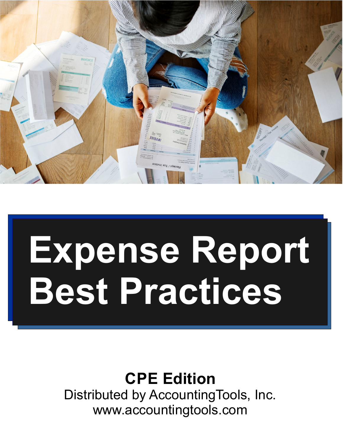# **Expense Report Best Practices**

# **CPE Edition**

Distributed by AccountingTools, Inc. www.accountingtools.com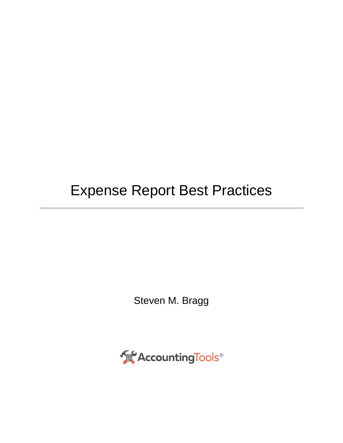## Expense Report Best Practices

Steven M. Bragg

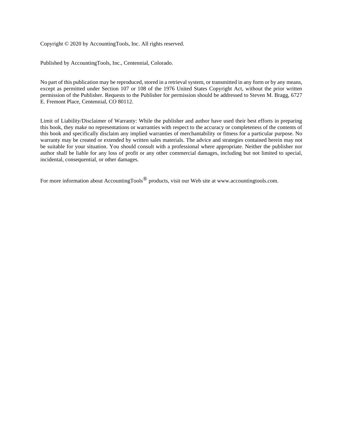Copyright © 2020 by AccountingTools, Inc. All rights reserved.

Published by AccountingTools, Inc., Centennial, Colorado.

No part of this publication may be reproduced, stored in a retrieval system, or transmitted in any form or by any means, except as permitted under Section 107 or 108 of the 1976 United States Copyright Act, without the prior written permission of the Publisher. Requests to the Publisher for permission should be addressed to Steven M. Bragg, 6727 E. Fremont Place, Centennial, CO 80112.

Limit of Liability/Disclaimer of Warranty: While the publisher and author have used their best efforts in preparing this book, they make no representations or warranties with respect to the accuracy or completeness of the contents of this book and specifically disclaim any implied warranties of merchantability or fitness for a particular purpose. No warranty may be created or extended by written sales materials. The advice and strategies contained herein may not be suitable for your situation. You should consult with a professional where appropriate. Neither the publisher nor author shall be liable for any loss of profit or any other commercial damages, including but not limited to special, incidental, consequential, or other damages.

For more information about AccountingTools® products, visit our Web site at www.accountingtools.com.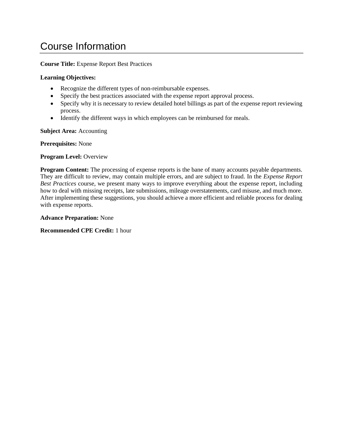## Course Information

**Course Title:** Expense Report Best Practices

#### **Learning Objectives:**

- Recognize the different types of non-reimbursable expenses.
- Specify the best practices associated with the expense report approval process.
- Specify why it is necessary to review detailed hotel billings as part of the expense report reviewing process.
- Identify the different ways in which employees can be reimbursed for meals.

**Subject Area:** Accounting

**Prerequisites:** None

#### **Program Level:** Overview

**Program Content:** The processing of expense reports is the bane of many accounts payable departments. They are difficult to review, may contain multiple errors, and are subject to fraud. In the *Expense Report Best Practices* course, we present many ways to improve everything about the expense report, including how to deal with missing receipts, late submissions, mileage overstatements, card misuse, and much more. After implementing these suggestions, you should achieve a more efficient and reliable process for dealing with expense reports.

**Advance Preparation:** None

**Recommended CPE Credit:** 1 hour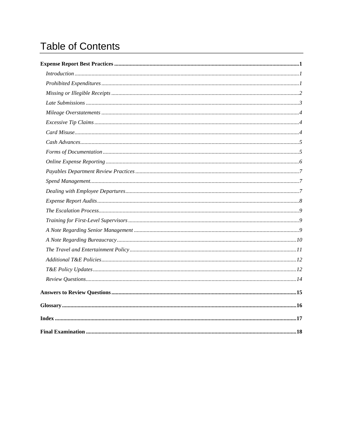## **Table of Contents**

| Index 17 |  |
|----------|--|
|          |  |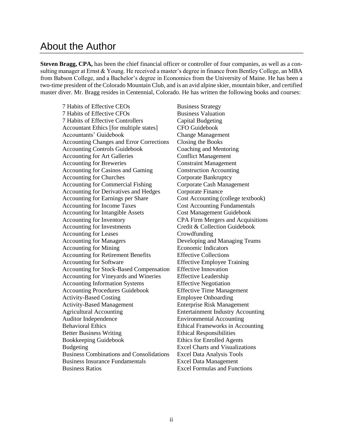### About the Author

**Steven Bragg, CPA,** has been the chief financial officer or controller of four companies, as well as a consulting manager at Ernst & Young. He received a master's degree in finance from Bentley College, an MBA from Babson College, and a Bachelor's degree in Economics from the University of Maine. He has been a two-time president of the Colorado Mountain Club, and is an avid alpine skier, mountain biker, and certified master diver. Mr. Bragg resides in Centennial, Colorado. He has written the following books and courses:

7 Habits of Effective CEOs 7 Habits of Effective CFOs 7 Habits of Effective Controllers Accountant Ethics [for multiple states] Accountants' Guidebook Accounting Changes and Error Corrections Accounting Controls Guidebook Accounting for Art Galleries Accounting for Breweries Accounting for Casinos and Gaming Accounting for Churches Accounting for Commercial Fishing Accounting for Derivatives and Hedges Accounting for Earnings per Share Accounting for Income Taxes Accounting for Intangible Assets Accounting for Inventory Accounting for Investments Accounting for Leases Accounting for Managers Accounting for Mining Accounting for Retirement Benefits Accounting for Software Accounting for Stock-Based Compensation Accounting for Vineyards and Wineries Accounting Information Systems Accounting Procedures Guidebook Activity-Based Costing Activity-Based Management Agricultural Accounting Auditor Independence Behavioral Ethics Better Business Writing Bookkeeping Guidebook Budgeting Business Combinations and Consolidations Business Insurance Fundamentals Business Ratios

Business Strategy Business Valuation Capital Budgeting CFO Guidebook Change Management Closing the Books Coaching and Mentoring Conflict Management Constraint Management Construction Accounting Corporate Bankruptcy Corporate Cash Management Corporate Finance Cost Accounting (college textbook) Cost Accounting Fundamentals Cost Management Guidebook CPA Firm Mergers and Acquisitions Credit & Collection Guidebook Crowdfunding Developing and Managing Teams Economic Indicators Effective Collections Effective Employee Training Effective Innovation Effective Leadership Effective Negotiation Effective Time Management Employee Onboarding Enterprise Risk Management Entertainment Industry Accounting Environmental Accounting Ethical Frameworks in Accounting Ethical Responsibilities Ethics for Enrolled Agents Excel Charts and Visualizations Excel Data Analysis Tools Excel Data Management Excel Formulas and Functions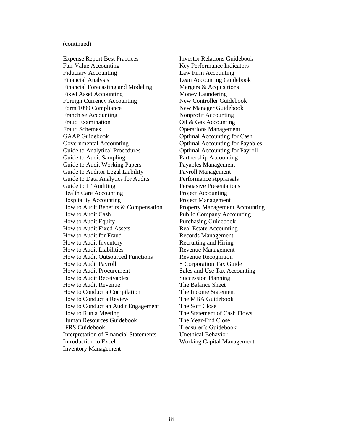#### (continued)

Expense Report Best Practices Fair Value Accounting Fiduciary Accounting Financial Analysis Financial Forecasting and Modeling Fixed Asset Accounting Foreign Currency Accounting Form 1099 Compliance Franchise Accounting Fraud Examination Fraud Schemes GAAP Guidebook Governmental Accounting Guide to Analytical Procedures Guide to Audit Sampling Guide to Audit Working Papers Guide to Auditor Legal Liability Guide to Data Analytics for Audits Guide to IT Auditing Health Care Accounting Hospitality Accounting How to Audit Benefits & Compensation How to Audit Cash How to Audit Equity How to Audit Fixed Assets How to Audit for Fraud How to Audit Inventory How to Audit Liabilities How to Audit Outsourced Functions How to Audit Payroll How to Audit Procurement How to Audit Receivables How to Audit Revenue How to Conduct a Compilation How to Conduct a Review How to Conduct an Audit Engagement How to Run a Meeting Human Resources Guidebook IFRS Guidebook Interpretation of Financial Statements Introduction to Excel Inventory Management

Investor Relations Guidebook Key Performance Indicators Law Firm Accounting Lean Accounting Guidebook Mergers & Acquisitions Money Laundering New Controller Guidebook New Manager Guidebook Nonprofit Accounting Oil & Gas Accounting Operations Management Optimal Accounting for Cash Optimal Accounting for Payables Optimal Accounting for Payroll Partnership Accounting Payables Management Payroll Management Performance Appraisals Persuasive Presentations Project Accounting Project Management Property Management Accounting Public Company Accounting Purchasing Guidebook Real Estate Accounting Records Management Recruiting and Hiring Revenue Management Revenue Recognition S Corporation Tax Guide Sales and Use Tax Accounting Succession Planning The Balance Sheet The Income Statement The MBA Guidebook The Soft Close The Statement of Cash Flows The Year-End Close Treasurer's Guidebook Unethical Behavior Working Capital Management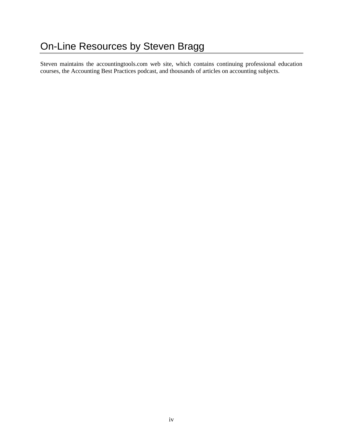Steven maintains the accountingtools.com web site, which contains continuing professional education courses, the Accounting Best Practices podcast, and thousands of articles on accounting subjects.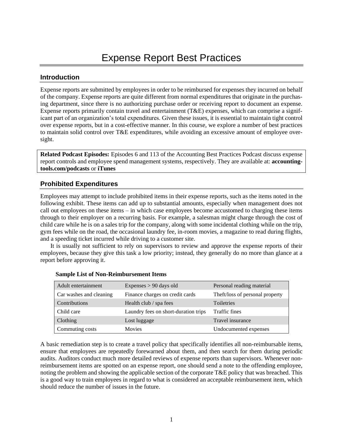#### <span id="page-8-1"></span><span id="page-8-0"></span>**Introduction**

Expense reports are submitted by employees in order to be reimbursed for expenses they incurred on behalf of the company. Expense reports are quite different from normal expenditures that originate in the purchasing department, since there is no authorizing purchase order or receiving report to document an expense. Expense reports primarily contain travel and entertainment (T&E) expenses, which can comprise a significant part of an organization's total expenditures. Given these issues, it is essential to maintain tight control over expense reports, but in a cost-effective manner. In this course, we explore a number of best practices to maintain solid control over T&E expenditures, while avoiding an excessive amount of employee oversight.

**Related Podcast Episodes:** Episodes 6 and 113 of the Accounting Best Practices Podcast discuss expense report controls and employee spend management systems, respectively. They are available at: **accountingtools.com/podcasts** or **iTunes**

#### <span id="page-8-2"></span>**Prohibited Expenditures**

Employees may attempt to include prohibited items in their expense reports, such as the items noted in the following exhibit. These items can add up to substantial amounts, especially when management does not call out employees on these items – in which case employees become accustomed to charging these items through to their employer on a recurring basis. For example, a salesman might charge through the cost of child care while he is on a sales trip for the company, along with some incidental clothing while on the trip, gym fees while on the road, the occasional laundry fee, in-room movies, a magazine to read during flights, and a speeding ticket incurred while driving to a customer site.

It is usually not sufficient to rely on supervisors to review and approve the expense reports of their employees, because they give this task a low priority; instead, they generally do no more than glance at a report before approving it.

| Adult entertainment     | Expenses $> 90$ days old             | Personal reading material       |
|-------------------------|--------------------------------------|---------------------------------|
| Car washes and cleaning | Finance charges on credit cards      | Theft/loss of personal property |
| Contributions           | Health club / spa fees               | Toiletries                      |
| Child care              | Laundry fees on short-duration trips | Traffic fines                   |
| Clothing                | Lost luggage                         | Travel insurance                |
| Commuting costs         | <b>Movies</b>                        | Undocumented expenses           |

|  | <b>Sample List of Non-Reimbursement Items</b> |  |
|--|-----------------------------------------------|--|
|--|-----------------------------------------------|--|

A basic remediation step is to create a travel policy that specifically identifies all non-reimbursable items, ensure that employees are repeatedly forewarned about them, and then search for them during periodic audits. Auditors conduct much more detailed reviews of expense reports than supervisors. Whenever nonreimbursement items are spotted on an expense report, one should send a note to the offending employee, noting the problem and showing the applicable section of the corporate T&E policy that was breached. This is a good way to train employees in regard to what is considered an acceptable reimbursement item, which should reduce the number of issues in the future.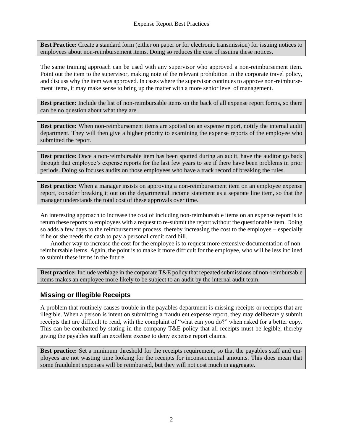**Best Practice:** Create a standard form (either on paper or for electronic transmission) for issuing notices to employees about non-reimbursement items. Doing so reduces the cost of issuing these notices.

The same training approach can be used with any supervisor who approved a non-reimbursement item. Point out the item to the supervisor, making note of the relevant prohibition in the corporate travel policy, and discuss why the item was approved. In cases where the supervisor continues to approve non-reimbursement items, it may make sense to bring up the matter with a more senior level of management.

**Best practice:** Include the list of non-reimbursable items on the back of all expense report forms, so there can be no question about what they are.

**Best practice:** When non-reimbursement items are spotted on an expense report, notify the internal audit department. They will then give a higher priority to examining the expense reports of the employee who submitted the report.

**Best practice:** Once a non-reimbursable item has been spotted during an audit, have the auditor go back through that employee's expense reports for the last few years to see if there have been problems in prior periods. Doing so focuses audits on those employees who have a track record of breaking the rules.

**Best practice:** When a manager insists on approving a non-reimbursement item on an employee expense report, consider breaking it out on the departmental income statement as a separate line item, so that the manager understands the total cost of these approvals over time.

An interesting approach to increase the cost of including non-reimbursable items on an expense report is to return these reports to employees with a request to re-submit the report without the questionable item. Doing so adds a few days to the reimbursement process, thereby increasing the cost to the employee – especially if he or she needs the cash to pay a personal credit card bill.

Another way to increase the cost for the employee is to request more extensive documentation of nonreimbursable items. Again, the point is to make it more difficult for the employee, who will be less inclined to submit these items in the future.

**Best practice:** Include verbiage in the corporate T&E policy that repeated submissions of non-reimbursable items makes an employee more likely to be subject to an audit by the internal audit team.

#### <span id="page-9-0"></span>**Missing or Illegible Receipts**

A problem that routinely causes trouble in the payables department is missing receipts or receipts that are illegible. When a person is intent on submitting a fraudulent expense report, they may deliberately submit receipts that are difficult to read, with the complaint of "what can you do?" when asked for a better copy. This can be combatted by stating in the company T&E policy that all receipts must be legible, thereby giving the payables staff an excellent excuse to deny expense report claims.

**Best practice:** Set a minimum threshold for the receipts requirement, so that the payables staff and employees are not wasting time looking for the receipts for inconsequential amounts. This does mean that some fraudulent expenses will be reimbursed, but they will not cost much in aggregate.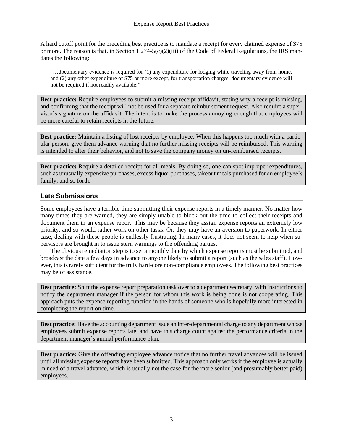A hard cutoff point for the preceding best practice is to mandate a receipt for every claimed expense of \$75 or more. The reason is that, in Section  $1.274-5(c)(2)(iii)$  of the Code of Federal Regulations, the IRS mandates the following:

"…documentary evidence is required for (1) any expenditure for lodging while traveling away from home, and (2) any other expenditure of \$75 or more except, for transportation charges, documentary evidence will not be required if not readily available."

**Best practice:** Require employees to submit a missing receipt affidavit, stating why a receipt is missing, and confirming that the receipt will not be used for a separate reimbursement request. Also require a supervisor's signature on the affidavit. The intent is to make the process annoying enough that employees will be more careful to retain receipts in the future.

**Best practice:** Maintain a listing of lost receipts by employee. When this happens too much with a particular person, give them advance warning that no further missing receipts will be reimbursed. This warning is intended to alter their behavior, and not to save the company money on un-reimbursed receipts.

**Best practice:** Require a detailed receipt for all meals. By doing so, one can spot improper expenditures, such as unusually expensive purchases, excess liquor purchases, takeout meals purchased for an employee's family, and so forth.

#### <span id="page-10-0"></span>**Late Submissions**

Some employees have a terrible time submitting their expense reports in a timely manner. No matter how many times they are warned, they are simply unable to block out the time to collect their receipts and document them in an expense report. This may be because they assign expense reports an extremely low priority, and so would rather work on other tasks. Or, they may have an aversion to paperwork. In either case, dealing with these people is endlessly frustrating. In many cases, it does not seem to help when supervisors are brought in to issue stern warnings to the offending parties.

The obvious remediation step is to set a monthly date by which expense reports must be submitted, and broadcast the date a few days in advance to anyone likely to submit a report (such as the sales staff). However, this is rarely sufficient for the truly hard-core non-compliance employees. The following best practices may be of assistance.

**Best practice:** Shift the expense report preparation task over to a department secretary, with instructions to notify the department manager if the person for whom this work is being done is not cooperating. This approach puts the expense reporting function in the hands of someone who is hopefully more interested in completing the report on time.

**Best practice:** Have the accounting department issue an inter-departmental charge to any department whose employees submit expense reports late, and have this charge count against the performance criteria in the department manager's annual performance plan.

**Best practice:** Give the offending employee advance notice that no further travel advances will be issued until all missing expense reports have been submitted. This approach only works if the employee is actually in need of a travel advance, which is usually not the case for the more senior (and presumably better paid) employees.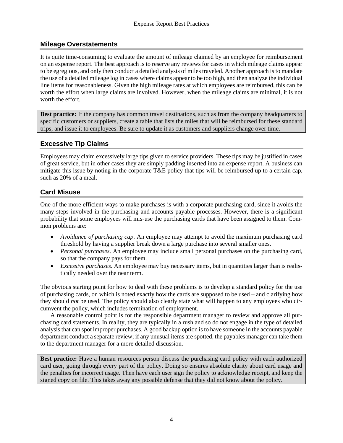#### <span id="page-11-0"></span>**Mileage Overstatements**

It is quite time-consuming to evaluate the amount of mileage claimed by an employee for reimbursement on an expense report. The best approach is to reserve any reviews for cases in which mileage claims appear to be egregious, and only then conduct a detailed analysis of miles traveled. Another approach is to mandate the use of a detailed mileage log in cases where claims appear to be too high, and then analyze the individual line items for reasonableness. Given the high mileage rates at which employees are reimbursed, this can be worth the effort when large claims are involved. However, when the mileage claims are minimal, it is not worth the effort.

**Best practice:** If the company has common travel destinations, such as from the company headquarters to specific customers or suppliers, create a table that lists the miles that will be reimbursed for these standard trips, and issue it to employees. Be sure to update it as customers and suppliers change over time.

#### <span id="page-11-1"></span>**Excessive Tip Claims**

Employees may claim excessively large tips given to service providers. These tips may be justified in cases of great service, but in other cases they are simply padding inserted into an expense report. A business can mitigate this issue by noting in the corporate T&E policy that tips will be reimbursed up to a certain cap, such as 20% of a meal.

#### <span id="page-11-2"></span>**Card Misuse**

One of the more efficient ways to make purchases is with a corporate purchasing card, since it avoids the many steps involved in the purchasing and accounts payable processes. However, there is a significant probability that some employees will mis-use the purchasing cards that have been assigned to them. Common problems are:

- *Avoidance of purchasing cap*. An employee may attempt to avoid the maximum purchasing card threshold by having a supplier break down a large purchase into several smaller ones.
- *Personal purchases*. An employee may include small personal purchases on the purchasing card, so that the company pays for them.
- *Excessive purchases*. An employee may buy necessary items, but in quantities larger than is realistically needed over the near term.

The obvious starting point for how to deal with these problems is to develop a standard policy for the use of purchasing cards, on which is noted exactly how the cards are supposed to be used – and clarifying how they should *not* be used. The policy should also clearly state what will happen to any employees who circumvent the policy, which includes termination of employment.

A reasonable control point is for the responsible department manager to review and approve all purchasing card statements. In reality, they are typically in a rush and so do not engage in the type of detailed analysis that can spot improper purchases. A good backup option is to have someone in the accounts payable department conduct a separate review; if any unusual items are spotted, the payables manager can take them to the department manager for a more detailed discussion.

**Best practice:** Have a human resources person discuss the purchasing card policy with each authorized card user, going through every part of the policy. Doing so ensures absolute clarity about card usage and the penalties for incorrect usage. Then have each user sign the policy to acknowledge receipt, and keep the signed copy on file. This takes away any possible defense that they did not know about the policy.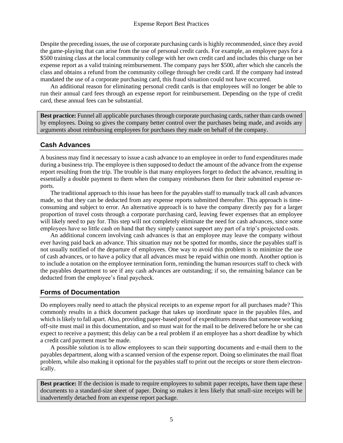Despite the preceding issues, the use of corporate purchasing cards is highly recommended, since they avoid the game-playing that can arise from the use of personal credit cards. For example, an employee pays for a \$500 training class at the local community college with her own credit card and includes this charge on her expense report as a valid training reimbursement. The company pays her \$500, after which she cancels the class and obtains a refund from the community college through her credit card. If the company had instead mandated the use of a corporate purchasing card, this fraud situation could not have occurred.

An additional reason for eliminating personal credit cards is that employees will no longer be able to run their annual card fees through an expense report for reimbursement. Depending on the type of credit card, these annual fees can be substantial.

**Best practice:** Funnel all applicable purchases through corporate purchasing cards, rather than cards owned by employees. Doing so gives the company better control over the purchases being made, and avoids any arguments about reimbursing employees for purchases they made on behalf of the company.

#### <span id="page-12-0"></span>**Cash Advances**

A business may find it necessary to issue a cash advance to an employee in order to fund expenditures made during a business trip. The employee is then supposed to deduct the amount of the advance from the expense report resulting from the trip. The trouble is that many employees forget to deduct the advance, resulting in essentially a double payment to them when the company reimburses them for their submitted expense reports.

The traditional approach to this issue has been for the payables staff to manually track all cash advances made, so that they can be deducted from any expense reports submitted thereafter. This approach is timeconsuming and subject to error. An alternative approach is to have the company directly pay for a larger proportion of travel costs through a corporate purchasing card, leaving fewer expenses that an employee will likely need to pay for. This step will not completely eliminate the need for cash advances, since some employees have so little cash on hand that they simply cannot support any part of a trip's projected costs.

An additional concern involving cash advances is that an employee may leave the company without ever having paid back an advance. This situation may not be spotted for months, since the payables staff is not usually notified of the departure of employees. One way to avoid this problem is to minimize the use of cash advances, or to have a policy that all advances must be repaid within one month. Another option is to include a notation on the employee termination form, reminding the human resources staff to check with the payables department to see if any cash advances are outstanding; if so, the remaining balance can be deducted from the employee's final paycheck.

#### <span id="page-12-1"></span>**Forms of Documentation**

Do employees really need to attach the physical receipts to an expense report for all purchases made? This commonly results in a thick document package that takes up inordinate space in the payables files, and which is likely to fall apart. Also, providing paper-based proof of expenditures means that someone working off-site must mail in this documentation, and so must wait for the mail to be delivered before he or she can expect to receive a payment; this delay can be a real problem if an employee has a short deadline by which a credit card payment must be made.

A possible solution is to allow employees to scan their supporting documents and e-mail them to the payables department, along with a scanned version of the expense report. Doing so eliminates the mail float problem, while also making it optional for the payables staff to print out the receipts or store them electronically.

**Best practice:** If the decision is made to require employees to submit paper receipts, have them tape these documents to a standard-size sheet of paper. Doing so makes it less likely that small-size receipts will be inadvertently detached from an expense report package.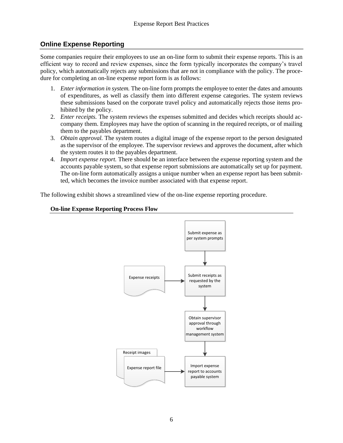#### <span id="page-13-0"></span>**Online Expense Reporting**

Some companies require their employees to use an on-line form to submit their expense reports. This is an efficient way to record and review expenses, since the form typically incorporates the company's travel policy, which automatically rejects any submissions that are not in compliance with the policy. The procedure for completing an on-line expense report form is as follows:

- 1. *Enter information in system.* The on-line form prompts the employee to enter the dates and amounts of expenditures, as well as classify them into different expense categories. The system reviews these submissions based on the corporate travel policy and automatically rejects those items prohibited by the policy.
- 2. *Enter receipts.* The system reviews the expenses submitted and decides which receipts should accompany them. Employees may have the option of scanning in the required receipts, or of mailing them to the payables department.
- 3. *Obtain approval.* The system routes a digital image of the expense report to the person designated as the supervisor of the employee. The supervisor reviews and approves the document, after which the system routes it to the payables department.
- 4. *Import expense report.* There should be an interface between the expense reporting system and the accounts payable system, so that expense report submissions are automatically set up for payment. The on-line form automatically assigns a unique number when an expense report has been submitted, which becomes the invoice number associated with that expense report.

The following exhibit shows a streamlined view of the on-line expense reporting procedure.



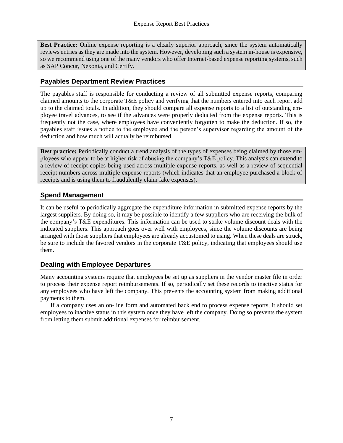**Best Practice:** Online expense reporting is a clearly superior approach, since the system automatically reviews entries as they are made into the system. However, developing such a system in-house is expensive, so we recommend using one of the many vendors who offer Internet-based expense reporting systems, such as SAP Concur, Nexonia, and Certify.

#### <span id="page-14-0"></span>**Payables Department Review Practices**

The payables staff is responsible for conducting a review of all submitted expense reports, comparing claimed amounts to the corporate T&E policy and verifying that the numbers entered into each report add up to the claimed totals. In addition, they should compare all expense reports to a list of outstanding employee travel advances, to see if the advances were properly deducted from the expense reports. This is frequently not the case, where employees have conveniently forgotten to make the deduction. If so, the payables staff issues a notice to the employee and the person's supervisor regarding the amount of the deduction and how much will actually be reimbursed.

**Best practice:** Periodically conduct a trend analysis of the types of expenses being claimed by those employees who appear to be at higher risk of abusing the company's T&E policy. This analysis can extend to a review of receipt copies being used across multiple expense reports, as well as a review of sequential receipt numbers across multiple expense reports (which indicates that an employee purchased a block of receipts and is using them to fraudulently claim fake expenses).

#### <span id="page-14-1"></span>**Spend Management**

It can be useful to periodically aggregate the expenditure information in submitted expense reports by the largest suppliers. By doing so, it may be possible to identify a few suppliers who are receiving the bulk of the company's T&E expenditures. This information can be used to strike volume discount deals with the indicated suppliers. This approach goes over well with employees, since the volume discounts are being arranged with those suppliers that employees are already accustomed to using. When these deals are struck, be sure to include the favored vendors in the corporate T&E policy, indicating that employees should use them.

#### <span id="page-14-2"></span>**Dealing with Employee Departures**

Many accounting systems require that employees be set up as suppliers in the vendor master file in order to process their expense report reimbursements. If so, periodically set these records to inactive status for any employees who have left the company. This prevents the accounting system from making additional payments to them.

If a company uses an on-line form and automated back end to process expense reports, it should set employees to inactive status in this system once they have left the company. Doing so prevents the system from letting them submit additional expenses for reimbursement.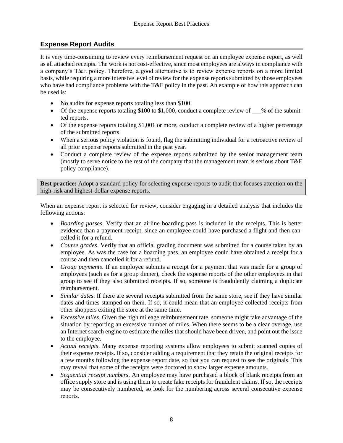#### <span id="page-15-0"></span>**Expense Report Audits**

It is very time-consuming to review every reimbursement request on an employee expense report, as well as all attached receipts. The work is not cost-effective, since most employees are always in compliance with a company's T&E policy. Therefore, a good alternative is to review expense reports on a more limited basis, while requiring a more intensive level of review for the expense reports submitted by those employees who have had compliance problems with the T&E policy in the past. An example of how this approach can be used is:

- No audits for expense reports totaling less than \$100.
- Of the expense reports totaling \$100 to \$1,000, conduct a complete review of  $\_\%$  of the submitted reports.
- Of the expense reports totaling \$1,001 or more, conduct a complete review of a higher percentage of the submitted reports.
- When a serious policy violation is found, flag the submitting individual for a retroactive review of all prior expense reports submitted in the past year.
- Conduct a complete review of the expense reports submitted by the senior management team (mostly to serve notice to the rest of the company that the management team is serious about  $T\&E$ policy compliance).

**Best practice:** Adopt a standard policy for selecting expense reports to audit that focuses attention on the high-risk and highest-dollar expense reports.

When an expense report is selected for review, consider engaging in a detailed analysis that includes the following actions:

- *Boarding passes*. Verify that an airline boarding pass is included in the receipts. This is better evidence than a payment receipt, since an employee could have purchased a flight and then cancelled it for a refund.
- *Course grades*. Verify that an official grading document was submitted for a course taken by an employee. As was the case for a boarding pass, an employee could have obtained a receipt for a course and then cancelled it for a refund.
- *Group payments*. If an employee submits a receipt for a payment that was made for a group of employees (such as for a group dinner), check the expense reports of the other employees in that group to see if they also submitted receipts. If so, someone is fraudulently claiming a duplicate reimbursement.
- *Similar dates*. If there are several receipts submitted from the same store, see if they have similar dates and times stamped on them. If so, it could mean that an employee collected receipts from other shoppers exiting the store at the same time.
- *Excessive miles*. Given the high mileage reimbursement rate, someone might take advantage of the situation by reporting an excessive number of miles. When there seems to be a clear overage, use an Internet search engine to estimate the miles that should have been driven, and point out the issue to the employee.
- *Actual receipts*. Many expense reporting systems allow employees to submit scanned copies of their expense receipts. If so, consider adding a requirement that they retain the original receipts for a few months following the expense report date, so that you can request to see the originals. This may reveal that some of the receipts were doctored to show larger expense amounts.
- *Sequential receipt numbers*. An employee may have purchased a block of blank receipts from an office supply store and is using them to create fake receipts for fraudulent claims. If so, the receipts may be consecutively numbered, so look for the numbering across several consecutive expense reports.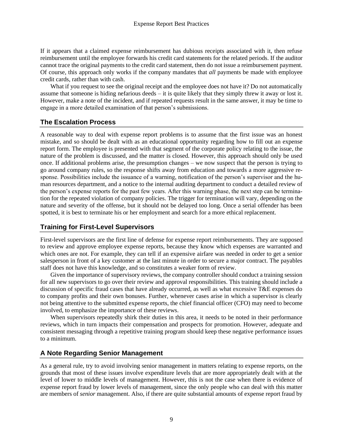If it appears that a claimed expense reimbursement has dubious receipts associated with it, then refuse reimbursement until the employee forwards his credit card statements for the related periods. If the auditor cannot trace the original payments to the credit card statement, then do not issue a reimbursement payment. Of course, this approach only works if the company mandates that *all* payments be made with employee credit cards, rather than with cash.

What if you request to see the original receipt and the employee does not have it? Do not automatically assume that someone is hiding nefarious deeds – it is quite likely that they simply threw it away or lost it. However, make a note of the incident, and if repeated requests result in the same answer, it may be time to engage in a more detailed examination of that person's submissions.

#### <span id="page-16-0"></span>**The Escalation Process**

A reasonable way to deal with expense report problems is to assume that the first issue was an honest mistake, and so should be dealt with as an educational opportunity regarding how to fill out an expense report form. The employee is presented with that segment of the corporate policy relating to the issue, the nature of the problem is discussed, and the matter is closed. However, this approach should only be used once. If additional problems arise, the presumption changes – we now suspect that the person is trying to go around company rules, so the response shifts away from education and towards a more aggressive response. Possibilities include the issuance of a warning, notification of the person's supervisor and the human resources department, and a notice to the internal auditing department to conduct a detailed review of the person's expense reports for the past few years. After this warning phase, the next step can be termination for the repeated violation of company policies. The trigger for termination will vary, depending on the nature and severity of the offense, but it should not be delayed too long. Once a serial offender has been spotted, it is best to terminate his or her employment and search for a more ethical replacement.

#### <span id="page-16-1"></span>**Training for First-Level Supervisors**

First-level supervisors are the first line of defense for expense report reimbursements. They are supposed to review and approve employee expense reports, because they know which expenses are warranted and which ones are not. For example, they can tell if an expensive airfare was needed in order to get a senior salesperson in front of a key customer at the last minute in order to secure a major contract. The payables staff does not have this knowledge, and so constitutes a weaker form of review.

Given the importance of supervisory reviews, the company controller should conduct a training session for all new supervisors to go over their review and approval responsibilities. This training should include a discussion of specific fraud cases that have already occurred, as well as what excessive T&E expenses do to company profits and their own bonuses. Further, whenever cases arise in which a supervisor is clearly not being attentive to the submitted expense reports, the chief financial officer (CFO) may need to become involved, to emphasize the importance of these reviews.

When supervisors repeatedly shirk their duties in this area, it needs to be noted in their performance reviews, which in turn impacts their compensation and prospects for promotion. However, adequate and consistent messaging through a repetitive training program should keep these negative performance issues to a minimum.

#### <span id="page-16-2"></span>**A Note Regarding Senior Management**

As a general rule, try to avoid involving senior management in matters relating to expense reports, on the grounds that most of these issues involve expenditure levels that are more appropriately dealt with at the level of lower to middle levels of management. However, this is not the case when there is evidence of expense report fraud by lower levels of management, since the only people who can deal with this matter are members of *senior* management. Also, if there are quite substantial amounts of expense report fraud by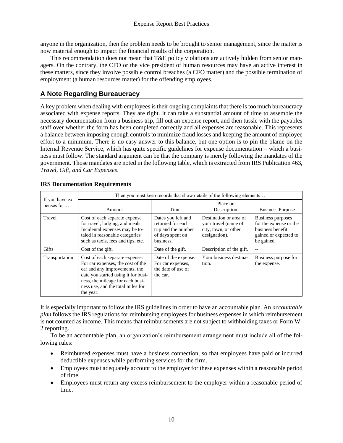anyone in the organization, then the problem needs to be brought to senior management, since the matter is now material enough to impact the financial results of the corporation.

This recommendation does not mean that  $T\&E$  policy violations are actively hidden from senior managers. On the contrary, the CFO or the vice president of human resources may have an active interest in these matters, since they involve possible control breaches (a CFO matter) and the possible termination of employment (a human resources matter) for the offending employees.

#### <span id="page-17-0"></span>**A Note Regarding Bureaucracy**

A key problem when dealing with employees is their ongoing complaints that there is too much bureaucracy associated with expense reports. They are right. It can take a substantial amount of time to assemble the necessary documentation from a business trip, fill out an expense report, and then tussle with the payables staff over whether the form has been completed correctly and all expenses are reasonable. This represents a balance between imposing enough controls to minimize fraud losses and keeping the amount of employee effort to a minimum. There is no easy answer to this balance, but one option is to pin the blame on the Internal Revenue Service, which has quite specific guidelines for expense documentation – which a business must follow. The standard argument can be that the company is merely following the mandates of the government. Those mandates are noted in the following table, which is extracted from IRS Publication 463, *Travel, Gift, and Car Expenses*.

|                               | Then you must keep records that show details of the following elements                                                                                                                                                            |                                                                                                 |                                                                                         |                                                                                                        |
|-------------------------------|-----------------------------------------------------------------------------------------------------------------------------------------------------------------------------------------------------------------------------------|-------------------------------------------------------------------------------------------------|-----------------------------------------------------------------------------------------|--------------------------------------------------------------------------------------------------------|
| If you have ex-<br>penses for | Amount                                                                                                                                                                                                                            | Time                                                                                            | Place or<br>Description                                                                 | <b>Business Purpose</b>                                                                                |
| Travel                        | Cost of each separate expense<br>for travel, lodging, and meals.<br>Incidental expenses may be to-<br>taled in reasonable categories<br>such as taxis, fees and tips, etc.                                                        | Dates you left and<br>returned for each<br>trip and the number<br>of days spent on<br>business. | Destination or area of<br>your travel (name of<br>city, town, or other<br>designation). | Business purposes<br>for the expense or the<br>business benefit<br>gained or expected to<br>be gained. |
| Gifts                         | Cost of the gift.                                                                                                                                                                                                                 | Date of the gift.                                                                               | Description of the gift.                                                                |                                                                                                        |
| Transportation                | Cost of each separate expense.<br>For car expenses, the cost of the<br>car and any improvements, the<br>date you started using it for busi-<br>ness, the mileage for each busi-<br>ness use, and the total miles for<br>the year. | Date of the expense.<br>For car expenses,<br>the date of use of<br>the car.                     | Your business destina-<br>tion.                                                         | Business purpose for<br>the expense.                                                                   |

#### **IRS Documentation Requirements**

It is especially important to follow the IRS guidelines in order to have an accountable plan. An *accountable plan* follows the IRS regulations for reimbursing employees for business expenses in which reimbursement is not counted as income. This means that reimbursements are not subject to withholding taxes or Form W-2 reporting.

To be an accountable plan, an organization's reimbursement arrangement must include all of the following rules:

- Reimbursed expenses must have a business connection, so that employees have paid or incurred deductible expenses while performing services for the firm.
- Employees must adequately account to the employer for these expenses within a reasonable period of time.
- Employees must return any excess reimbursement to the employer within a reasonable period of time.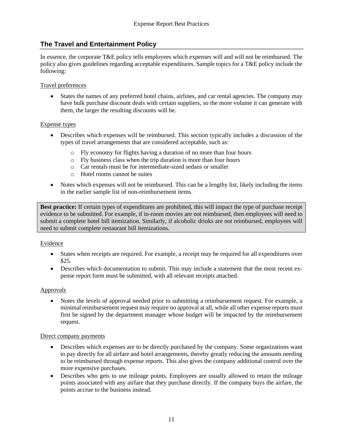#### <span id="page-18-0"></span>**The Travel and Entertainment Policy**

In essence, the corporate T&E policy tells employees which expenses will and will not be reimbursed. The policy also gives guidelines regarding acceptable expenditures. Sample topics for a T&E policy include the following:

#### Travel preferences

• States the names of any preferred hotel chains, airlines, and car rental agencies. The company may have bulk purchase discount deals with certain suppliers, so the more volume it can generate with them, the larger the resulting discounts will be.

#### Expense types

- Describes which expenses will be reimbursed. This section typically includes a discussion of the types of travel arrangements that are considered acceptable, such as:
	- o Fly economy for flights having a duration of no more than four hours
	- o Fly business class when the trip duration is more than four hours
	- o Car rentals must be for intermediate-sized sedans or smaller
	- o Hotel rooms cannot be suites
- Notes which expenses will not be reimbursed. This can be a lengthy list, likely including the items in the earlier sample list of non-reimbursement items.

**Best practice:** If certain types of expenditures are prohibited, this will impact the type of purchase receipt evidence to be submitted. For example, if in-room movies are not reimbursed, then employees will need to submit a complete hotel bill itemization. Similarly, if alcoholic drinks are not reimbursed, employees will need to submit complete restaurant bill itemizations.

#### Evidence

- States when receipts are required. For example, a receipt may be required for all expenditures over \$25.
- Describes which documentation to submit. This may include a statement that the most recent expense report form must be submitted, with all relevant receipts attached.

#### Approvals

• Notes the levels of approval needed prior to submitting a reimbursement request. For example, a minimal reimbursement request may require no approval at all, while all other expense reports must first be signed by the department manager whose budget will be impacted by the reimbursement request.

#### Direct company payments

- Describes which expenses are to be directly purchased by the company. Some organizations want to pay directly for all airfare and hotel arrangements, thereby greatly reducing the amounts needing to be reimbursed through expense reports. This also gives the company additional control over the more expensive purchases.
- Describes who gets to use mileage points. Employees are usually allowed to retain the mileage points associated with any airfare that they purchase directly. If the company buys the airfare, the points accrue to the business instead.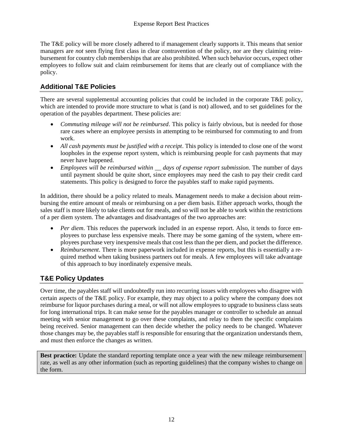The T&E policy will be more closely adhered to if management clearly supports it. This means that senior managers are *not* seen flying first class in clear contravention of the policy, nor are they claiming reimbursement for country club memberships that are also prohibited. When such behavior occurs, expect other employees to follow suit and claim reimbursement for items that are clearly out of compliance with the policy.

#### <span id="page-19-0"></span>**Additional T&E Policies**

There are several supplemental accounting policies that could be included in the corporate T&E policy, which are intended to provide more structure to what is (and is not) allowed, and to set guidelines for the operation of the payables department. These policies are:

- *Commuting mileage will not be reimbursed*. This policy is fairly obvious, but is needed for those rare cases where an employee persists in attempting to be reimbursed for commuting to and from work.
- *All cash payments must be justified with a receipt*. This policy is intended to close one of the worst loopholes in the expense report system, which is reimbursing people for cash payments that may never have happened.
- *Employees will be reimbursed within \_\_ days of expense report submission*. The number of days until payment should be quite short, since employees may need the cash to pay their credit card statements. This policy is designed to force the payables staff to make rapid payments.

In addition, there should be a policy related to meals. Management needs to make a decision about reimbursing the entire amount of meals or reimbursing on a per diem basis. Either approach works, though the sales staff is more likely to take clients out for meals, and so will not be able to work within the restrictions of a per diem system. The advantages and disadvantages of the two approaches are:

- *Per diem*. This reduces the paperwork included in an expense report. Also, it tends to force employees to purchase less expensive meals. There may be some gaming of the system, where employees purchase very inexpensive meals that cost less than the per diem, and pocket the difference.
- <span id="page-19-1"></span>• *Reimbursement*. There is more paperwork included in expense reports, but this is essentially a required method when taking business partners out for meals. A few employees will take advantage of this approach to buy inordinately expensive meals.

#### **T&E Policy Updates**

Over time, the payables staff will undoubtedly run into recurring issues with employees who disagree with certain aspects of the T&E policy. For example, they may object to a policy where the company does not reimburse for liquor purchases during a meal, or will not allow employees to upgrade to business class seats for long international trips. It can make sense for the payables manager or controller to schedule an annual meeting with senior management to go over these complaints, and relay to them the specific complaints being received. Senior management can then decide whether the policy needs to be changed. Whatever those changes may be, the payables staff is responsible for ensuring that the organization understands them, and must then enforce the changes as written.

**Best practice:** Update the standard reporting template once a year with the new mileage reimbursement rate, as well as any other information (such as reporting guidelines) that the company wishes to change on the form.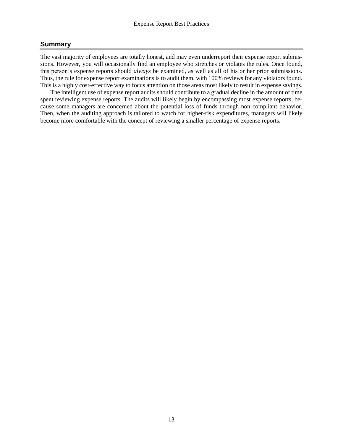#### **Summary**

The vast majority of employees are totally honest, and may even underreport their expense report submissions. However, you will occasionally find an employee who stretches or violates the rules. Once found, this person's expense reports should *always* be examined, as well as all of his or her prior submissions. Thus, the rule for expense report examinations is to audit them, with 100% reviews for any violators found. This is a highly cost-effective way to focus attention on those areas most likely to result in expense savings.

The intelligent use of expense report audits should contribute to a gradual decline in the amount of time spent reviewing expense reports. The audits will likely begin by encompassing most expense reports, because some managers are concerned about the potential loss of funds through non-compliant behavior. Then, when the auditing approach is tailored to watch for higher-risk expenditures, managers will likely become more comfortable with the concept of reviewing a smaller percentage of expense reports.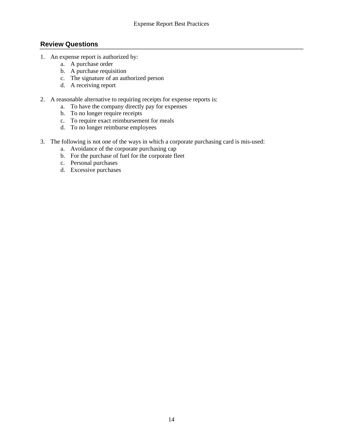#### <span id="page-21-0"></span>**Review Questions**

- 1. An expense report is authorized by:
	- a. A purchase order
	- b. A purchase requisition
	- c. The signature of an authorized person
	- d. A receiving report
- 2. A reasonable alternative to requiring receipts for expense reports is:
	- a. To have the company directly pay for expenses
	- b. To no longer require receipts
	- c. To require exact reimbursement for meals
	- d. To no longer reimburse employees
- 3. The following is not one of the ways in which a corporate purchasing card is mis-used:
	- a. Avoidance of the corporate purchasing cap
	- b. For the purchase of fuel for the corporate fleet
	- c. Personal purchases
	- d. Excessive purchases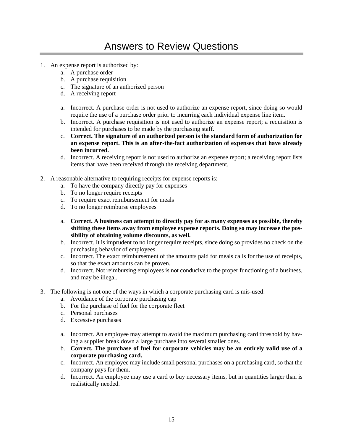## <span id="page-22-0"></span>Answers to Review Questions

- 1. An expense report is authorized by:
	- a. A purchase order
	- b. A purchase requisition
	- c. The signature of an authorized person
	- d. A receiving report
	- a. Incorrect. A purchase order is not used to authorize an expense report, since doing so would require the use of a purchase order prior to incurring each individual expense line item.
	- b. Incorrect. A purchase requisition is not used to authorize an expense report; a requisition is intended for purchases to be made by the purchasing staff.
	- c. **Correct. The signature of an authorized person is the standard form of authorization for an expense report. This is an after-the-fact authorization of expenses that have already been incurred.**
	- d. Incorrect. A receiving report is not used to authorize an expense report; a receiving report lists items that have been received through the receiving department.
- 2. A reasonable alternative to requiring receipts for expense reports is:
	- a. To have the company directly pay for expenses
	- b. To no longer require receipts
	- c. To require exact reimbursement for meals
	- d. To no longer reimburse employees
	- a. **Correct. A business can attempt to directly pay for as many expenses as possible, thereby shifting these items away from employee expense reports. Doing so may increase the possibility of obtaining volume discounts, as well.**
	- b. Incorrect. It is imprudent to no longer require receipts, since doing so provides no check on the purchasing behavior of employees.
	- c. Incorrect. The exact reimbursement of the amounts paid for meals calls for the use of receipts, so that the exact amounts can be proven.
	- d. Incorrect. Not reimbursing employees is not conducive to the proper functioning of a business, and may be illegal.
- 3. The following is not one of the ways in which a corporate purchasing card is mis-used:
	- a. Avoidance of the corporate purchasing cap
	- b. For the purchase of fuel for the corporate fleet
	- c. Personal purchases
	- d. Excessive purchases
	- a. Incorrect. An employee may attempt to avoid the maximum purchasing card threshold by having a supplier break down a large purchase into several smaller ones.
	- b. **Correct. The purchase of fuel for corporate vehicles may be an entirely valid use of a corporate purchasing card.**
	- c. Incorrect. An employee may include small personal purchases on a purchasing card, so that the company pays for them.
	- d. Incorrect. An employee may use a card to buy necessary items, but in quantities larger than is realistically needed.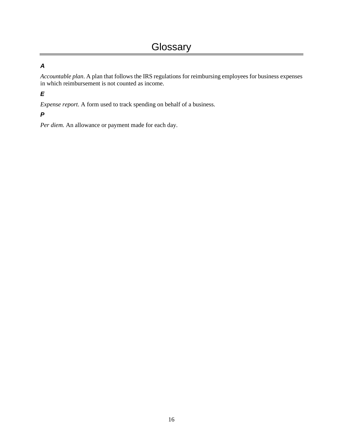#### <span id="page-23-0"></span>*A*

*Accountable plan*. A plan that follows the IRS regulations for reimbursing employees for business expenses in which reimbursement is not counted as income.

#### *E*

*Expense report*. A form used to track spending on behalf of a business.

#### *P*

*Per diem.* An allowance or payment made for each day.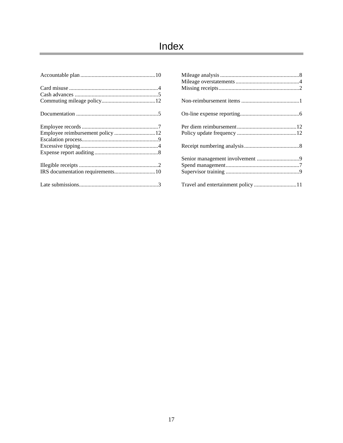## <span id="page-24-0"></span>Index

| Travel and entertainment policy 11 |  |
|------------------------------------|--|